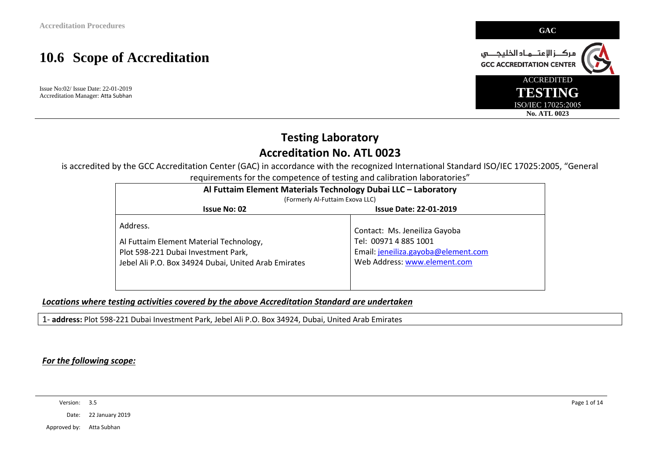Issue No:02/ Issue Date: 22-01-2019 Accreditation Manager: Atta Subhan



#### **Testing Laboratory Accreditation No. ATL 0023**

is accredited by the GCC Accreditation Center (GAC) in accordance with the recognized International Standard ISO/IEC 17025:2005, "General requirements for the competence of testing and calibration laboratories"

| Al Futtaim Element Materials Technology Dubai LLC - Laboratory<br>(Formerly Al-Futtaim Exova LLC) |                                     |  |
|---------------------------------------------------------------------------------------------------|-------------------------------------|--|
| <b>Issue No: 02</b><br><b>Issue Date: 22-01-2019</b>                                              |                                     |  |
| Address.                                                                                          | Contact: Ms. Jeneiliza Gayoba       |  |
| Al Futtaim Element Material Technology,                                                           | Tel: 00971 4 885 1001               |  |
| Plot 598-221 Dubai Investment Park,                                                               | Email: jeneiliza.gayoba@element.com |  |
| Jebel Ali P.O. Box 34924 Dubai, United Arab Emirates                                              | Web Address: www.element.com        |  |
|                                                                                                   |                                     |  |
|                                                                                                   |                                     |  |

#### *Locations where testing activities covered by the above Accreditation Standard are undertaken*

1- **address:** Plot 598-221 Dubai Investment Park, Jebel Ali P.O. Box 34924, Dubai, United Arab Emirates

#### *For the following scope:*

Version: 3.5 Page 1 of 14

Date: 22 January 2019

Approved by: Atta Subhan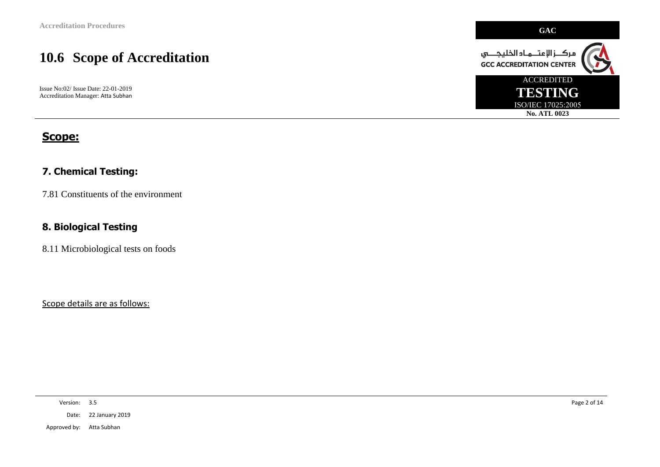Issue No:02/ Issue Date: 22-01-2019 Accreditation Manager: Atta Subhan

#### **Scope:**

#### **7. Chemical Testing:**

7.81 Constituents of the environment

#### **8. Biological Testing**

8.11 Microbiological tests on foods

Scope details are as follows:

Version: 3.5 Page 2 of 14

Date: 22 January 2019

Approved by: Atta Subhan

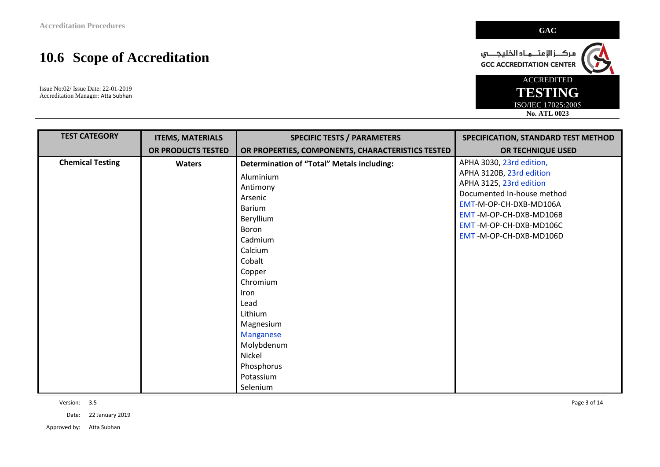Issue No:02/ Issue Date: 22-01-2019 Accreditation Manager: Atta Subhan

| <b>TEST CATEGORY</b>    | <b>ITEMS, MATERIALS</b> | <b>SPECIFIC TESTS / PARAMETERS</b>                                                                                                                                                                                                                       | SPECIFICATION, STANDARD TEST METHOD                                                                                                                                                       |
|-------------------------|-------------------------|----------------------------------------------------------------------------------------------------------------------------------------------------------------------------------------------------------------------------------------------------------|-------------------------------------------------------------------------------------------------------------------------------------------------------------------------------------------|
|                         | OR PRODUCTS TESTED      | OR PROPERTIES, COMPONENTS, CHARACTERISTICS TESTED                                                                                                                                                                                                        | OR TECHNIQUE USED                                                                                                                                                                         |
| <b>Chemical Testing</b> | <b>Waters</b>           | <b>Determination of "Total" Metals including:</b>                                                                                                                                                                                                        | APHA 3030, 23rd edition,                                                                                                                                                                  |
|                         |                         | Aluminium<br>Antimony<br>Arsenic<br><b>Barium</b><br>Beryllium<br>Boron<br>Cadmium<br>Calcium<br>Cobalt<br>Copper<br>Chromium<br><b>Iron</b><br>Lead<br>Lithium<br>Magnesium<br>Manganese<br>Molybdenum<br>Nickel<br>Phosphorus<br>Potassium<br>Selenium | APHA 3120B, 23rd edition<br>APHA 3125, 23rd edition<br>Documented In-house method<br>EMT-M-OP-CH-DXB-MD106A<br>EMT-M-OP-CH-DXB-MD106B<br>EMT-M-OP-CH-DXB-MD106C<br>EMT-M-OP-CH-DXB-MD106D |

Version: 3.5 Page 3 of 14

Date: 22 January 2019

Approved by: Atta Subhan

ACCREDITED **TESTING** ISO/IEC 17025:2005 **No. ATL 0023**

مركـــز الإعتـــمــاد الخليجــــــي<br>GCC ACCREDITATION CENTER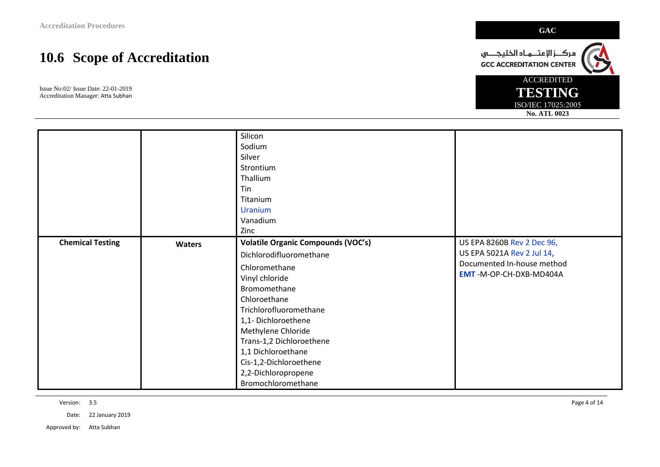Issue No:02/ Issue Date: 22-01-2019 Accreditation Manager: Atta Subhan

|                         |               | Silicon<br>Sodium<br>Silver                                                                                                                                                                                                                                                                                                            |                                                                                                                  |
|-------------------------|---------------|----------------------------------------------------------------------------------------------------------------------------------------------------------------------------------------------------------------------------------------------------------------------------------------------------------------------------------------|------------------------------------------------------------------------------------------------------------------|
|                         |               | Strontium<br>Thallium<br>Tin<br>Titanium<br><b>Uranium</b><br>Vanadium<br>Zinc                                                                                                                                                                                                                                                         |                                                                                                                  |
| <b>Chemical Testing</b> | <b>Waters</b> | <b>Volatile Organic Compounds (VOC's)</b><br>Dichlorodifluoromethane<br>Chloromethane<br>Vinyl chloride<br>Bromomethane<br>Chloroethane<br>Trichlorofluoromethane<br>1,1-Dichloroethene<br>Methylene Chloride<br>Trans-1,2 Dichloroethene<br>1,1 Dichloroethane<br>Cis-1,2-Dichloroethene<br>2,2-Dichloropropene<br>Bromochloromethane | US EPA 8260B Rev 2 Dec 96,<br>US EPA 5021A Rev 2 Jul 14,<br>Documented In-house method<br>EMT-M-OP-CH-DXB-MD404A |

Version: 3.5 Page 4 of 14

Date: 22 January 2019

Approved by: Atta Subhan



ACCREDITED **TESTING** ISO/IEC 17025:2005 **No. ATL 0023**

مركـــز الإعتـــمــاد الخليجــــــي<br>GCC ACCREDITATION CENTER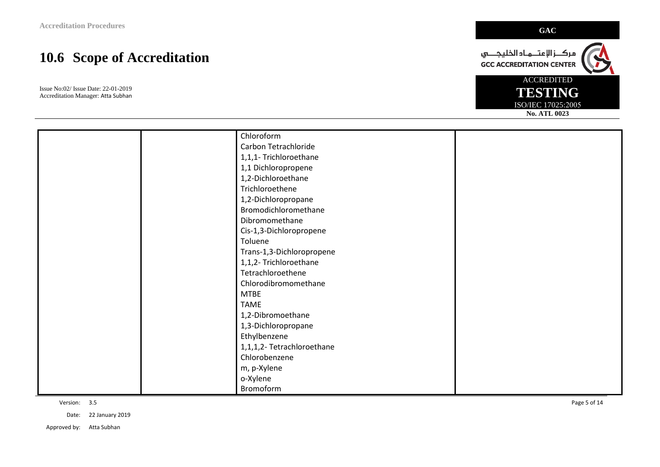Issue No:02/ Issue Date: 22-01-2019 Accreditation Manager: Atta Subhan

|  | Chloroform                 |  |
|--|----------------------------|--|
|  | Carbon Tetrachloride       |  |
|  | 1,1,1- Trichloroethane     |  |
|  | 1,1 Dichloropropene        |  |
|  | 1,2-Dichloroethane         |  |
|  | Trichloroethene            |  |
|  | 1,2-Dichloropropane        |  |
|  | Bromodichloromethane       |  |
|  | Dibromomethane             |  |
|  | Cis-1,3-Dichloropropene    |  |
|  | Toluene                    |  |
|  | Trans-1,3-Dichloropropene  |  |
|  | 1,1,2- Trichloroethane     |  |
|  | Tetrachloroethene          |  |
|  | Chlorodibromomethane       |  |
|  | <b>MTBE</b>                |  |
|  | <b>TAME</b>                |  |
|  | 1,2-Dibromoethane          |  |
|  | 1,3-Dichloropropane        |  |
|  | Ethylbenzene               |  |
|  | 1,1,1,2- Tetrachloroethane |  |
|  | Chlorobenzene              |  |
|  | m, p-Xylene                |  |
|  | o-Xylene                   |  |
|  | Bromoform                  |  |

Version: 3.5 Page 5 of 14

Date: 22 January 2019

Approved by: Atta Subhan



مركــــز الإعتــــمــاد الخليجـــــــي<br>GCC ACCREDITATION CENTER

ACCREDITED **TESTING** ISO/IEC 17025:2005

**No. ATL 0023**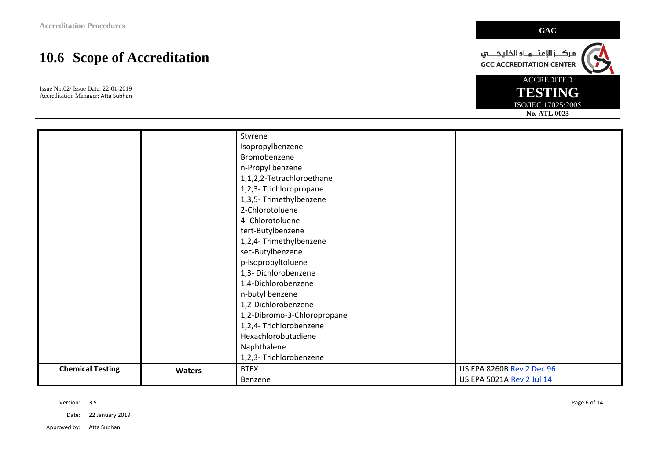Issue No:02/ Issue Date: 22-01-2019 Accreditation Manager: Atta Subhan

|                         |               | Styrene                     |                                  |
|-------------------------|---------------|-----------------------------|----------------------------------|
|                         |               | Isopropylbenzene            |                                  |
|                         |               | Bromobenzene                |                                  |
|                         |               | n-Propyl benzene            |                                  |
|                         |               | 1,1,2,2-Tetrachloroethane   |                                  |
|                         |               | 1,2,3- Trichloropropane     |                                  |
|                         |               | 1,3,5- Trimethylbenzene     |                                  |
|                         |               | 2-Chlorotoluene             |                                  |
|                         |               | 4- Chlorotoluene            |                                  |
|                         |               | tert-Butylbenzene           |                                  |
|                         |               | 1,2,4- Trimethylbenzene     |                                  |
|                         |               | sec-Butylbenzene            |                                  |
|                         |               | p-Isopropyltoluene          |                                  |
|                         |               | 1,3- Dichlorobenzene        |                                  |
|                         |               | 1,4-Dichlorobenzene         |                                  |
|                         |               | n-butyl benzene             |                                  |
|                         |               | 1,2-Dichlorobenzene         |                                  |
|                         |               | 1,2-Dibromo-3-Chloropropane |                                  |
|                         |               | 1,2,4- Trichlorobenzene     |                                  |
|                         |               | Hexachlorobutadiene         |                                  |
|                         |               | Naphthalene                 |                                  |
|                         |               | 1,2,3- Trichlorobenzene     |                                  |
| <b>Chemical Testing</b> | <b>Waters</b> | <b>BTEX</b>                 | <b>US EPA 8260B Rev 2 Dec 96</b> |
|                         |               | Benzene                     | US EPA 5021A Rev 2 Jul 14        |

Version: 3.5 Page 6 of 14

Date: 22 January 2019

Approved by: Atta Subhan

مركـــز الإعتـــمــاد الخليجــــــي<br>GCC ACCREDITATION CENTER ACCREDITED **TESTING**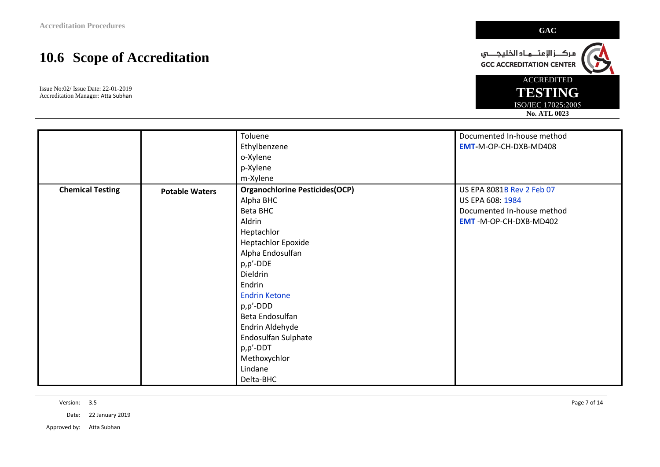Issue No:02/ Issue Date: 22-01-2019 Accreditation Manager: Atta Subhan

|                         |                       | Toluene                               | Documented In-house method |
|-------------------------|-----------------------|---------------------------------------|----------------------------|
|                         |                       | Ethylbenzene                          | EMT-M-OP-CH-DXB-MD408      |
|                         |                       | o-Xylene                              |                            |
|                         |                       | p-Xylene                              |                            |
|                         |                       | m-Xylene                              |                            |
| <b>Chemical Testing</b> | <b>Potable Waters</b> | <b>Organochlorine Pesticides(OCP)</b> | US EPA 8081B Rev 2 Feb 07  |
|                         |                       | Alpha BHC                             | US EPA 608: 1984           |
|                         |                       | <b>Beta BHC</b>                       | Documented In-house method |
|                         |                       | Aldrin                                | EMT-M-OP-CH-DXB-MD402      |
|                         |                       | Heptachlor                            |                            |
|                         |                       | <b>Heptachlor Epoxide</b>             |                            |
|                         |                       | Alpha Endosulfan                      |                            |
|                         |                       | p,p'-DDE                              |                            |
|                         |                       | Dieldrin                              |                            |
|                         |                       | Endrin                                |                            |
|                         |                       | <b>Endrin Ketone</b>                  |                            |
|                         |                       | p,p'-DDD                              |                            |
|                         |                       | Beta Endosulfan                       |                            |
|                         |                       | Endrin Aldehyde                       |                            |
|                         |                       | Endosulfan Sulphate                   |                            |
|                         |                       | p,p'-DDT                              |                            |
|                         |                       | Methoxychlor                          |                            |
|                         |                       | Lindane                               |                            |
|                         |                       | Delta-BHC                             |                            |

Version: 3.5 Page 7 of 14

Date: 22 January 2019

Approved by: Atta Subhan



مركـــز الإعتـــمــاد الخليجــــــي<br>GCC ACCREDITATION CENTER

ACCREDITED **TESTING** ISO/IEC 17025:2005 **No. ATL 0023**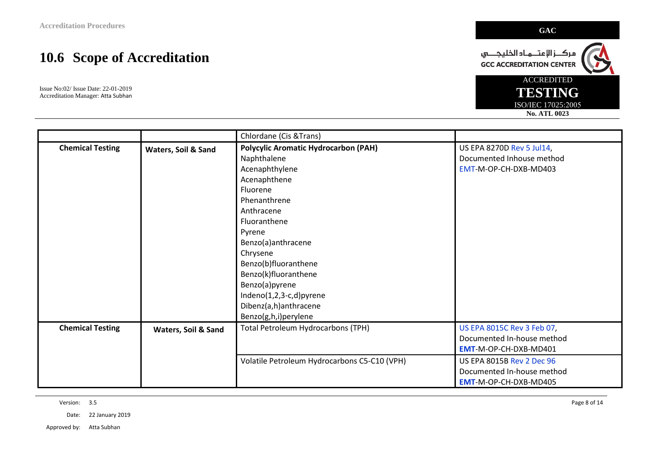Issue No:02/ Issue Date: 22-01-2019 Accreditation Manager: Atta Subhan

|                         |                     | Chlordane (Cis & Trans)                      |                            |
|-------------------------|---------------------|----------------------------------------------|----------------------------|
| <b>Chemical Testing</b> | Waters, Soil & Sand | <b>Polycylic Aromatic Hydrocarbon (PAH)</b>  | US EPA 8270D Rev 5 Jul14,  |
|                         |                     | Naphthalene                                  | Documented Inhouse method  |
|                         |                     | Acenaphthylene                               | EMT-M-OP-CH-DXB-MD403      |
|                         |                     | Acenaphthene                                 |                            |
|                         |                     | Fluorene                                     |                            |
|                         |                     | Phenanthrene                                 |                            |
|                         |                     | Anthracene                                   |                            |
|                         |                     | Fluoranthene                                 |                            |
|                         |                     | Pyrene                                       |                            |
|                         |                     | Benzo(a)anthracene                           |                            |
|                         |                     | Chrysene                                     |                            |
|                         |                     | Benzo(b)fluoranthene                         |                            |
|                         |                     | Benzo(k)fluoranthene                         |                            |
|                         |                     | Benzo(a)pyrene                               |                            |
|                         |                     | Indeno(1,2,3-c,d)pyrene                      |                            |
|                         |                     | Dibenz(a,h)anthracene                        |                            |
|                         |                     | Benzo(g,h,i)perylene                         |                            |
| <b>Chemical Testing</b> | Waters, Soil & Sand | <b>Total Petroleum Hydrocarbons (TPH)</b>    | US EPA 8015C Rev 3 Feb 07, |
|                         |                     |                                              | Documented In-house method |
|                         |                     |                                              | EMT-M-OP-CH-DXB-MD401      |
|                         |                     | Volatile Petroleum Hydrocarbons C5-C10 (VPH) | US EPA 8015B Rev 2 Dec 96  |
|                         |                     |                                              | Documented In-house method |
|                         |                     |                                              | EMT-M-OP-CH-DXB-MD405      |

Version: 3.5 Page 8 of 14

Date: 22 January 2019

Approved by: Atta Subhan



مركـــز الإعتـــمــاد الخليجــــــي<br>GCC ACCREDITATION CENTER

ACCREDITED **TESTING**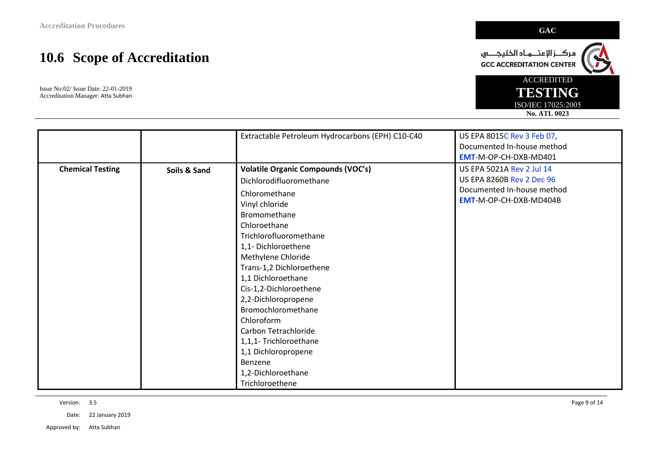Issue No:02/ Issue Date: 22-01-2019 Accreditation Manager: Atta Subhan

|                         |              | Extractable Petroleum Hydrocarbons (EPH) C10-C40                                                                                                                                                                                                                                                                                                                                                                                                                                  | US EPA 8015C Rev 3 Feb 07,<br>Documented In-house method<br>EMT-M-OP-CH-DXB-MD401                                     |
|-------------------------|--------------|-----------------------------------------------------------------------------------------------------------------------------------------------------------------------------------------------------------------------------------------------------------------------------------------------------------------------------------------------------------------------------------------------------------------------------------------------------------------------------------|-----------------------------------------------------------------------------------------------------------------------|
| <b>Chemical Testing</b> | Soils & Sand | <b>Volatile Organic Compounds (VOC's)</b><br>Dichlorodifluoromethane<br>Chloromethane<br>Vinyl chloride<br>Bromomethane<br>Chloroethane<br>Trichlorofluoromethane<br>1,1-Dichloroethene<br>Methylene Chloride<br>Trans-1,2 Dichloroethene<br>1,1 Dichloroethane<br>Cis-1,2-Dichloroethene<br>2,2-Dichloropropene<br>Bromochloromethane<br>Chloroform<br>Carbon Tetrachloride<br>1,1,1- Trichloroethane<br>1,1 Dichloropropene<br>Benzene<br>1,2-Dichloroethane<br>Trichloroethene | US EPA 5021A Rev 2 Jul 14<br><b>US EPA 8260B Rev 2 Dec 96</b><br>Documented In-house method<br>EMT-M-OP-CH-DXB-MD404B |

Version: 3.5 Page 9 of 14

Date: 22 January 2019

Approved by: Atta Subhan

ACCREDITED **TESTING** ISO/IEC 17025:2005 **No. ATL 0023**

مركـــز الإعتـــمــاد الخليجــــــي<br>GCC ACCREDITATION CENTER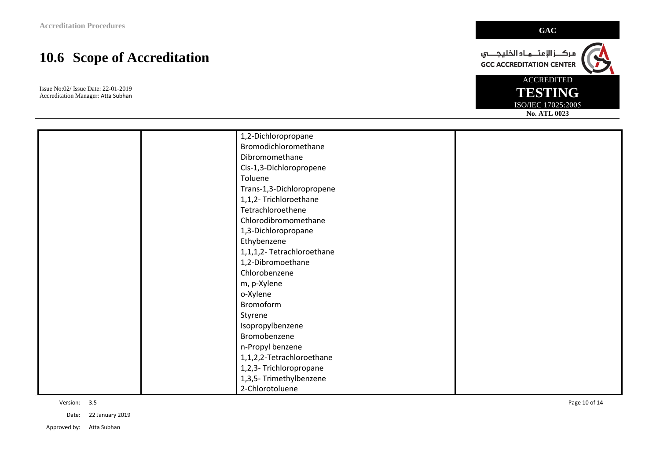Issue No:02/ Issue Date: 22-01-2019 Accreditation Manager: Atta Subhan

|  | 1,2-Dichloropropane        |  |
|--|----------------------------|--|
|  | Bromodichloromethane       |  |
|  | Dibromomethane             |  |
|  | Cis-1,3-Dichloropropene    |  |
|  | Toluene                    |  |
|  | Trans-1,3-Dichloropropene  |  |
|  | 1,1,2- Trichloroethane     |  |
|  | Tetrachloroethene          |  |
|  | Chlorodibromomethane       |  |
|  | 1,3-Dichloropropane        |  |
|  | Ethybenzene                |  |
|  | 1,1,1,2- Tetrachloroethane |  |
|  | 1,2-Dibromoethane          |  |
|  | Chlorobenzene              |  |
|  | m, p-Xylene                |  |
|  | o-Xylene                   |  |
|  | Bromoform                  |  |
|  | Styrene                    |  |
|  | Isopropylbenzene           |  |
|  | Bromobenzene               |  |
|  | n-Propyl benzene           |  |
|  | 1,1,2,2-Tetrachloroethane  |  |
|  | 1,2,3- Trichloropropane    |  |
|  | 1,3,5- Trimethylbenzene    |  |
|  | 2-Chlorotoluene            |  |

Version: 3.5 Page 10 of 14

Date: 22 January 2019

Approved by: Atta Subhan



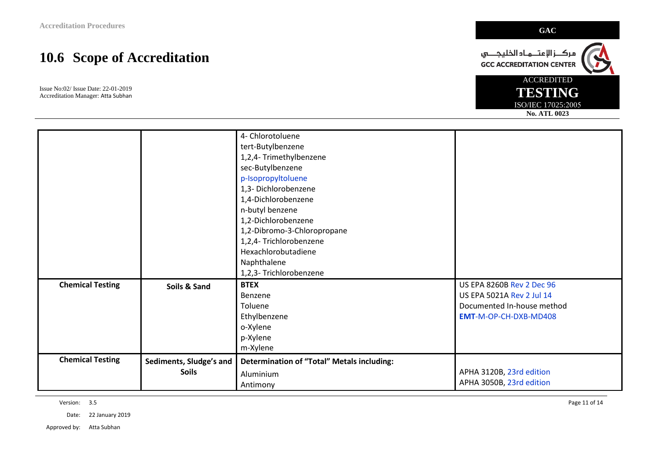Issue No:02/ Issue Date: 22-01-2019 Accreditation Manager: Atta Subhan

|                         |                         | 1,4-Dichlorobenzene<br>n-butyl benzene<br>1,2-Dichlorobenzene |                                  |
|-------------------------|-------------------------|---------------------------------------------------------------|----------------------------------|
|                         |                         | 1,2-Dibromo-3-Chloropropane                                   |                                  |
|                         |                         | 1,2,4- Trichlorobenzene<br>Hexachlorobutadiene                |                                  |
|                         |                         | Naphthalene                                                   |                                  |
|                         |                         | 1,2,3- Trichlorobenzene                                       |                                  |
|                         |                         |                                                               |                                  |
| <b>Chemical Testing</b> | Soils & Sand            | <b>BTEX</b>                                                   | <b>US EPA 8260B Rev 2 Dec 96</b> |
|                         |                         | Benzene                                                       | US EPA 5021A Rev 2 Jul 14        |
|                         |                         | Toluene                                                       | Documented In-house method       |
|                         |                         | Ethylbenzene                                                  | EMT-M-OP-CH-DXB-MD408            |
|                         |                         | o-Xylene                                                      |                                  |
|                         |                         | p-Xylene                                                      |                                  |
|                         |                         | m-Xylene                                                      |                                  |
| <b>Chemical Testing</b> | Sediments, Sludge's and | <b>Determination of "Total" Metals including:</b>             |                                  |
|                         | <b>Soils</b>            | Aluminium                                                     | APHA 3120B, 23rd edition         |

Version: 3.5 Page 11 of 14

Date: 22 January 2019

Approved by: Atta Subhan

مركــــز الإعتــــمــاد الخليجـــــــي<br>GCC ACCREDITATION CENTER ACCREDITED

> **TESTING** ISO/IEC 17025:2005 **No. ATL 0023**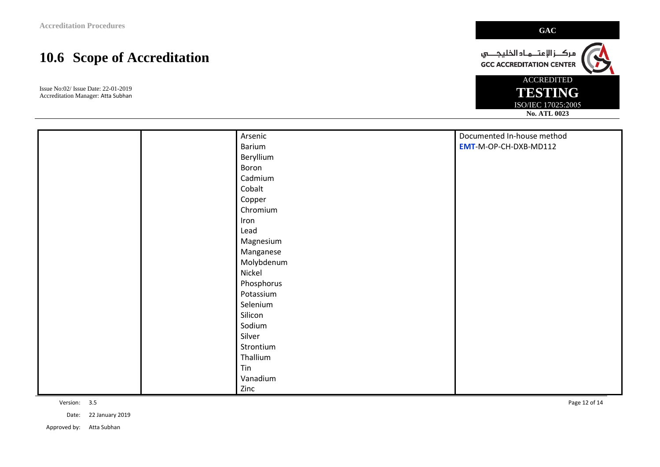Issue No:02/ Issue Date: 22-01-2019 Accreditation Manager: Atta Subhan

|  | Arsenic    | Documented In-house method |
|--|------------|----------------------------|
|  | Barium     | EMT-M-OP-CH-DXB-MD112      |
|  | Beryllium  |                            |
|  | Boron      |                            |
|  | Cadmium    |                            |
|  | Cobalt     |                            |
|  | Copper     |                            |
|  | Chromium   |                            |
|  | Iron       |                            |
|  | Lead       |                            |
|  | Magnesium  |                            |
|  | Manganese  |                            |
|  | Molybdenum |                            |
|  | Nickel     |                            |
|  | Phosphorus |                            |
|  | Potassium  |                            |
|  | Selenium   |                            |
|  | Silicon    |                            |
|  | Sodium     |                            |
|  | Silver     |                            |
|  | Strontium  |                            |
|  | Thallium   |                            |
|  | Tin        |                            |
|  | Vanadium   |                            |
|  | Zinc       |                            |

Date: 22 January 2019

Approved by: Atta Subhan



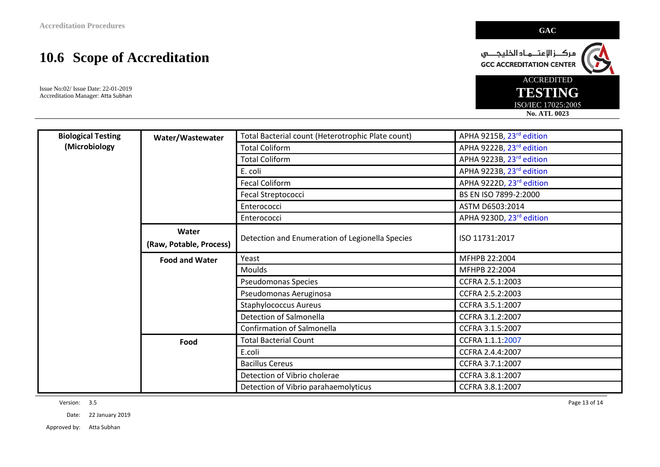Issue No:02/ Issue Date: 22-01-2019 Accreditation Manager: Atta Subhan

| <b>Biological Testing</b> | Water/Wastewater        | Total Bacterial count (Heterotrophic Plate count) | APHA 9215B, 23rd edition |
|---------------------------|-------------------------|---------------------------------------------------|--------------------------|
| (Microbiology             |                         | <b>Total Coliform</b>                             | APHA 9222B, 23rd edition |
|                           |                         | <b>Total Coliform</b>                             | APHA 9223B, 23rd edition |
|                           |                         | E. coli                                           | APHA 9223B, 23rd edition |
|                           |                         | <b>Fecal Coliform</b>                             | APHA 9222D, 23rd edition |
|                           |                         | Fecal Streptococci                                | BS EN ISO 7899-2:2000    |
|                           |                         | Enterococci                                       | ASTM D6503:2014          |
|                           |                         | Enterococci                                       | APHA 9230D, 23rd edition |
|                           | Water                   |                                                   |                          |
|                           | (Raw, Potable, Process) | Detection and Enumeration of Legionella Species   | ISO 11731:2017           |
|                           | <b>Food and Water</b>   | Yeast                                             | MFHPB 22:2004            |
|                           |                         | <b>Moulds</b>                                     | MFHPB 22:2004            |
|                           |                         | <b>Pseudomonas Species</b>                        | CCFRA 2.5.1:2003         |
|                           |                         | Pseudomonas Aeruginosa                            | CCFRA 2.5.2:2003         |
|                           |                         | <b>Staphylococcus Aureus</b>                      | CCFRA 3.5.1:2007         |
|                           |                         | Detection of Salmonella                           | CCFRA 3.1.2:2007         |
|                           |                         | <b>Confirmation of Salmonella</b>                 | CCFRA 3.1.5:2007         |
|                           | Food                    | <b>Total Bacterial Count</b>                      | CCFRA 1.1.1:2007         |
|                           |                         | E.coli                                            | CCFRA 2.4.4:2007         |
|                           |                         | <b>Bacillus Cereus</b>                            | CCFRA 3.7.1:2007         |
|                           |                         | Detection of Vibrio cholerae                      | CCFRA 3.8.1:2007         |
|                           |                         | Detection of Vibrio parahaemolyticus              | CCFRA 3.8.1:2007         |

Version: 3.5 Page 13 of 14

Date: 22 January 2019

Approved by: Atta Subhan

مركـــز الإعتـــمــاد الخليجــــــي<br>GCC ACCREDITATION CENTER

ACCREDITED **TESTING** ISO/IEC 17025:2005 **No. ATL 0023**